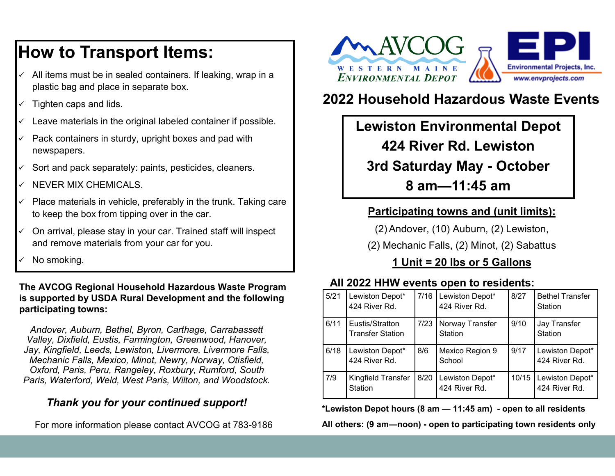## **How to Transport Items:**

- $\checkmark$  All items must be in sealed containers. If leaking, wrap in a plastic bag and place in separate box.
- $\checkmark$  Tighten caps and lids.
- $\checkmark$  Leave materials in the original labeled container if possible.
- $\checkmark$  Pack containers in sturdy, upright boxes and pad with newspapers.
- $\checkmark$  Sort and pack separately: paints, pesticides, cleaners.
- $\checkmark$  NEVER MIX CHEMICALS.
- $\checkmark$  Place materials in vehicle, preferably in the trunk. Taking care to keep the box from tipping over in the car.
- ✓ On arrival, please stay in your car. Trained staff will inspect and remove materials from your car for you.
- ✓ No smoking.

**The AVCOG Regional Household Hazardous Waste Program is supported by USDA Rural Development and the following participating towns:** 

*Andover, Auburn, Bethel, Byron, Carthage, Carrabassett Valley, Dixfield, Eustis, Farmington, Greenwood, Hanover, Jay, Kingfield, Leeds, Lewiston, Livermore, Livermore Falls, Mechanic Falls, Mexico, Minot, Newry, Norway, Otisfield, Oxford, Paris, Peru, Rangeley, Roxbury, Rumford, South Paris, Waterford, Weld, West Paris, Wilton, and Woodstock.*

### *Thank you for your continued support!*

For more information please contact AVCOG at 783-9186



## **2022 Household Hazardous Waste Events**

## **Lewiston Environmental Depot 424 River Rd. Lewiston 3rd Saturday May - October**

**8 am—11:45 am**

### **Participating towns and (unit limits):**

(2) Andover, (10) Auburn, (2) Lewiston,

(2) Mechanic Falls, (2) Minot, (2) Sabattus

## **1 Unit = 20 lbs or 5 Gallons**

### **All 2022 HHW events open to residents:**

| 5/21 | Lewiston Depot*<br>424 River Rd.            | 7/16 | Lewiston Depot*<br>424 River Rd. | 8/27  | <b>Bethel Transfer</b><br>Station |
|------|---------------------------------------------|------|----------------------------------|-------|-----------------------------------|
| 6/11 | Eustis/Stratton<br><b>Transfer Station</b>  | 7/23 | Norway Transfer<br>Station       | 9/10  | Jay Transfer<br>Station           |
| 6/18 | Lewiston Depot*<br>424 River Rd.            | 8/6  | Mexico Region 9<br>School        | 9/17  | Lewiston Depot*<br>424 River Rd.  |
| 7/9  | <b>Kingfield Transfer</b><br><b>Station</b> | 8/20 | Lewiston Depot*<br>424 River Rd. | 10/15 | Lewiston Depot*<br>424 River Rd.  |

**\*Lewiston Depot hours (8 am — 11:45 am) - open to all residents**

**All others: (9 am—noon) - open to participating town residents only**